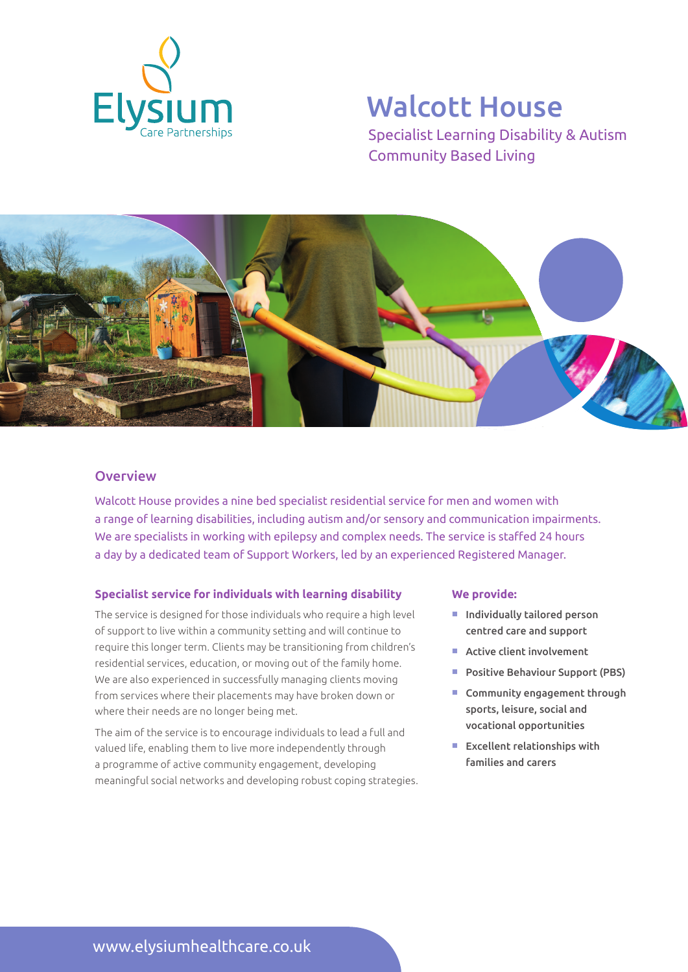

# Walcott House

Specialist Learning Disability & Autism Community Based Living



## **Overview**

Walcott House provides a nine bed specialist residential service for men and women with a range of learning disabilities, including autism and/or sensory and communication impairments. We are specialists in working with epilepsy and complex needs. The service is staffed 24 hours a day by a dedicated team of Support Workers, led by an experienced Registered Manager.

## **Specialist service for individuals with learning disability**

The service is designed for those individuals who require a high level of support to live within a community setting and will continue to require this longer term. Clients may be transitioning from children's residential services, education, or moving out of the family home. We are also experienced in successfully managing clients moving from services where their placements may have broken down or where their needs are no longer being met.

The aim of the service is to encourage individuals to lead a full and valued life, enabling them to live more independently through a programme of active community engagement, developing meaningful social networks and developing robust coping strategies.

#### **We provide:**

- $\blacksquare$  Individually tailored person centred care and support
- $\blacksquare$  Active client involvement
- **Positive Behaviour Support (PBS)**
- $\blacksquare$  Community engagement through sports, leisure, social and vocational opportunities
- $E$  Excellent relationships with families and carers